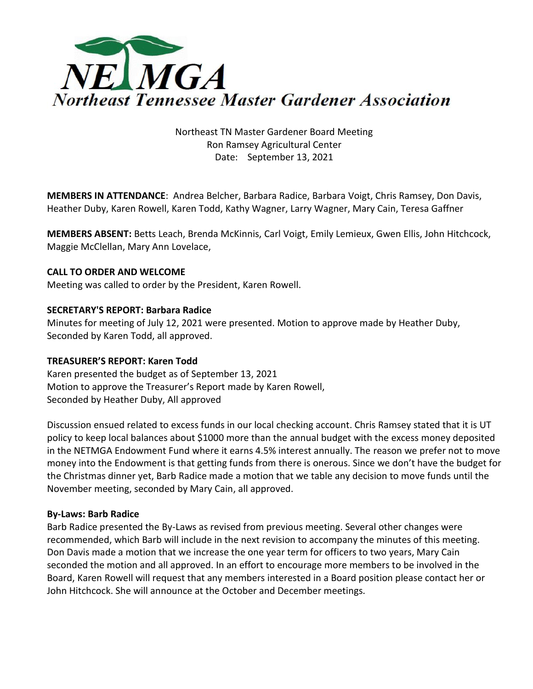

Northeast TN Master Gardener Board Meeting Ron Ramsey Agricultural Center Date: September 13, 2021

**MEMBERS IN ATTENDANCE**: Andrea Belcher, Barbara Radice, Barbara Voigt, Chris Ramsey, Don Davis, Heather Duby, Karen Rowell, Karen Todd, Kathy Wagner, Larry Wagner, Mary Cain, Teresa Gaffner

**MEMBERS ABSENT:** Betts Leach, Brenda McKinnis, Carl Voigt, Emily Lemieux, Gwen Ellis, John Hitchcock, Maggie McClellan, Mary Ann Lovelace,

#### **CALL TO ORDER AND WELCOME**

Meeting was called to order by the President, Karen Rowell.

# **SECRETARY'S REPORT: Barbara Radice**

Minutes for meeting of July 12, 2021 were presented. Motion to approve made by Heather Duby, Seconded by Karen Todd, all approved.

#### **TREASURER'S REPORT: Karen Todd**

Karen presented the budget as of September 13, 2021 Motion to approve the Treasurer's Report made by Karen Rowell, Seconded by Heather Duby, All approved

Discussion ensued related to excess funds in our local checking account. Chris Ramsey stated that it is UT policy to keep local balances about \$1000 more than the annual budget with the excess money deposited in the NETMGA Endowment Fund where it earns 4.5% interest annually. The reason we prefer not to move money into the Endowment is that getting funds from there is onerous. Since we don't have the budget for the Christmas dinner yet, Barb Radice made a motion that we table any decision to move funds until the November meeting, seconded by Mary Cain, all approved.

#### **By-Laws: Barb Radice**

Barb Radice presented the By-Laws as revised from previous meeting. Several other changes were recommended, which Barb will include in the next revision to accompany the minutes of this meeting. Don Davis made a motion that we increase the one year term for officers to two years, Mary Cain seconded the motion and all approved. In an effort to encourage more members to be involved in the Board, Karen Rowell will request that any members interested in a Board position please contact her or John Hitchcock. She will announce at the October and December meetings.